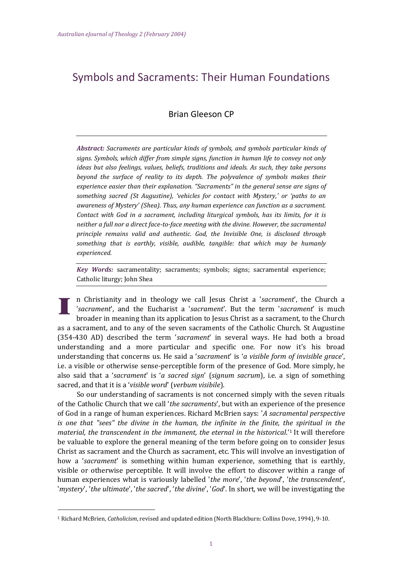# Symbols and Sacraments: Their Human Foundations

## Brian Gleeson CP

*Abstract: Sacraments are particular kinds of symbols, and symbols particular kinds of signs. Symbols, which differ from simple signs, function in human life to convey not only ideas but also feelings, values, beliefs, traditions and ideals. As such, they take persons beyond the surface of reality to its depth. The polyvalence of symbols makes their experience easier than their explanation. "Sacraments" in the general sense are signs of something sacred (St Augustine), 'vehicles for contact with Mystery,' or 'paths to an awareness of Mystery' (Shea). Thus, any human experience can function as a sacrament. Contact with God in a sacrament, including liturgical symbols, has its limits, for it is neither a full nor a direct face-to-face meeting with the divine. However, the sacramental principle remains valid and authentic. God, the Invisible One, is disclosed through something that is earthly, visible, audible, tangible: that which may be humanly experienced.*

*Key Words:* sacramentality; sacraments; symbols; signs; sacramental experience; Catholic liturgy; John Shea

n Christianity and in theology we call Jesus Christ a '*sacrament*', the Church a '*sacrament*', and the Eucharist a '*sacrament*'. But the term '*sacrament*' is much broader in meaning than its application to Jesus Christ as a sacrament, to the Church as a sacrament, and to any of the seven sacraments of the Catholic Church. St Augustine (354-430 AD) described the term '*sacrament*' in several ways. He had both a broad understanding and a more particular and specific one. For now it's his broad understanding that concerns us. He said a '*sacrament*' is '*a visible form of invisible grace*', i.e. a visible or otherwise sense-perceptible form of the presence of God. More simply, he also said that a '*sacrament*' is '*a sacred sign*' (*signum sacrum*), i.e. a sign of something sacred, and that it is a '*visible word*' (*verbum visibile*).

So our understanding of sacraments is not concerned simply with the seven rituals of the Catholic Church that we call '*the sacraments*', but with an experience of the presence of God in a range of human experiences. Richard McBrien says: '*A sacramental perspective is one that "sees" the divine in the human, the infinite in the finite, the spiritual in the material, the transcendent in the immanent, the eternal in the historical*.'[1](file:///C:/Documents%20and%20Settings/Admin/My%20Documents/Steven/ACU/AEJT%20Project%202011/AEJT%202-10/Ejournal/AEJT_2/Brian_Gleeson.htm%23_ftn2) It will therefore be valuable to explore the general meaning of the term before going on to consider Jesus Christ as sacrament and the Church as sacrament, etc. This will involve an investigation of how a '*sacrament*' is something within human experience, something that is earthly, visible or otherwise perceptible. It will involve the effort to discover within a range of human experiences what is variously labelled '*the more*', '*the beyond*', '*the transcendent*', '*mystery*', '*the ultimate*', '*the sacred*', '*the divine*', '*God*'. In short, we will be investigating the

<sup>1</sup> Richard McBrien, *Catholicism*, revised and updated edition (North Blackburn: Collins Dove, 1994), 9-10.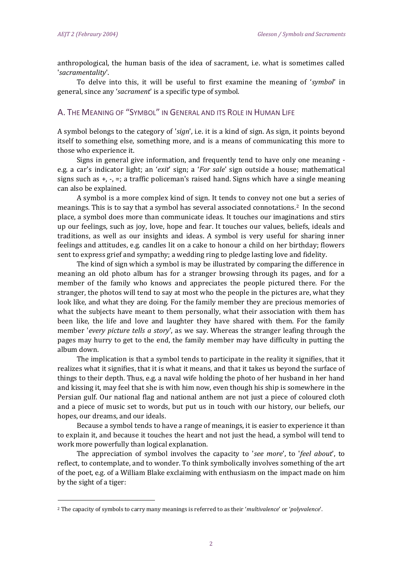l

anthropological, the human basis of the idea of sacrament, i.e. what is sometimes called '*sacramentality*'.

To delve into this, it will be useful to first examine the meaning of '*symbol*' in general, since any '*sacrament*' is a specific type of symbol.

## A. THE MEANING OF "SYMBOL" IN GENERAL AND ITS ROLE IN HUMAN LIFE

A symbol belongs to the category of '*sign*', i.e. it is a kind of sign. As sign, it points beyond itself to something else, something more, and is a means of communicating this more to those who experience it.

Signs in general give information, and frequently tend to have only one meaning e.g. a car's indicator light; an '*exit*' sign; a '*For sale*' sign outside a house; mathematical signs such as  $+$ ,  $-$ ,  $=$ ; a traffic policeman's raised hand. Signs which have a single meaning can also be explained.

A symbol is a more complex kind of sign. It tends to convey not one but a series of meanings. This is to say that a symbol has several associated connotations.[2](file:///C:/Documents%20and%20Settings/Admin/My%20Documents/Steven/ACU/AEJT%20Project%202011/AEJT%202-10/Ejournal/AEJT_2/Brian_Gleeson.htm%23_ftn3) In the second place, a symbol does more than communicate ideas. It touches our imaginations and stirs up our feelings, such as joy, love, hope and fear. It touches our values, beliefs, ideals and traditions, as well as our insights and ideas. A symbol is very useful for sharing inner feelings and attitudes, e.g. candles lit on a cake to honour a child on her birthday; flowers sent to express grief and sympathy; a wedding ring to pledge lasting love and fidelity.

The kind of sign which a symbol is may be illustrated by comparing the difference in meaning an old photo album has for a stranger browsing through its pages, and for a member of the family who knows and appreciates the people pictured there. For the stranger, the photos will tend to say at most who the people in the pictures are, what they look like, and what they are doing. For the family member they are precious memories of what the subjects have meant to them personally, what their association with them has been like, the life and love and laughter they have shared with them. For the family member '*every picture tells a story*', as we say. Whereas the stranger leafing through the pages may hurry to get to the end, the family member may have difficulty in putting the album down.

The implication is that a symbol tends to participate in the reality it signifies, that it realizes what it signifies, that it is what it means, and that it takes us beyond the surface of things to their depth. Thus, e.g. a naval wife holding the photo of her husband in her hand and kissing it, may feel that she is with him now, even though his ship is somewhere in the Persian gulf. Our national flag and national anthem are not just a piece of coloured cloth and a piece of music set to words, but put us in touch with our history, our beliefs, our hopes, our dreams, and our ideals.

Because a symbol tends to have a range of meanings, it is easier to experience it than to explain it, and because it touches the heart and not just the head, a symbol will tend to work more powerfully than logical explanation.

The appreciation of symbol involves the capacity to '*see more*', to '*feel about*', to reflect, to contemplate, and to wonder. To think symbolically involves something of the art of the poet, e.g. of a William Blake exclaiming with enthusiasm on the impact made on him by the sight of a tiger:

<sup>2</sup> The capacity of symbols to carry many meanings is referred to as their '*multivalence*' or '*polyvalence*'.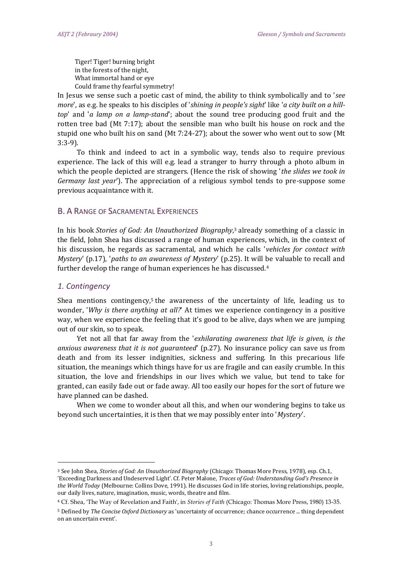Tiger! Tiger! burning bright in the forests of the night, What immortal hand or eye Could frame thy fearful symmetry!

In Jesus we sense such a poetic cast of mind, the ability to think symbolically and to '*see more*', as e.g. he speaks to his disciples of '*shining in people's sight*' like '*a city built on a hilltop*' and '*a lamp on a lamp-stand*'; about the sound tree producing good fruit and the rotten tree bad (Mt 7:17); about the sensible man who built his house on rock and the stupid one who built his on sand (Mt 7:24-27); about the sower who went out to sow (Mt 3:3-9).

To think and indeed to act in a symbolic way, tends also to require previous experience. The lack of this will e.g. lead a stranger to hurry through a photo album in which the people depicted are strangers. (Hence the risk of showing '*the slides we took in Germany last year*'). The appreciation of a religious symbol tends to pre-suppose some previous acquaintance with it.

#### B. A RANGE OF SACRAMENTAL EXPERIENCES

In his book *Stories of God: An Unauthorized Biography*, <sup>3</sup> [a](file:///C:/Documents%20and%20Settings/Admin/My%20Documents/Steven/ACU/AEJT%20Project%202011/AEJT%202-10/Ejournal/AEJT_2/Brian_Gleeson.htm%23_ftn4)lready something of a classic in the field, John Shea has discussed a range of human experiences, which, in the context of his discussion, he regards as sacramental, and which he calls '*vehicles for contact with Mystery*' (p.17), '*paths to an awareness of Mystery*' (p.25). It will be valuable to recall and further develop the range of human experiences he has discussed.[4](file:///C:/Documents%20and%20Settings/Admin/My%20Documents/Steven/ACU/AEJT%20Project%202011/AEJT%202-10/Ejournal/AEJT_2/Brian_Gleeson.htm%23_ftn5)

#### *1. Contingency*

l

Shea men[t](file:///C:/Documents%20and%20Settings/Admin/My%20Documents/Steven/ACU/AEJT%20Project%202011/AEJT%202-10/Ejournal/AEJT_2/Brian_Gleeson.htm%23_ftn6)ions contingency,<sup>5</sup> the awareness of the uncertainty of life, leading us to wonder, '*Why is there anything at all?*' At times we experience contingency in a positive way, when we experience the feeling that it's good to be alive, days when we are jumping out of our skin, so to speak.

Yet not all that far away from the '*exhilarating awareness that life is given, is the anxious awareness that it is not guaranteed*' (p.27). No insurance policy can save us from death and from its lesser indignities, sickness and suffering. In this precarious life situation, the meanings which things have for us are fragile and can easily crumble. In this situation, the love and friendships in our lives which we value, but tend to take for granted, can easily fade out or fade away. All too easily our hopes for the sort of future we have planned can be dashed.

When we come to wonder about all this, and when our wondering begins to take us beyond such uncertainties, it is then that we may possibly enter into '*Mystery*'.

<sup>3</sup> See John Shea, *Stories of God: An Unauthorized Biography* (Chicago: Thomas More Press, 1978), esp. Ch.1, 'Exceeding Darkness and Undeserved Light'. Cf. Peter Malone, *Traces of God: Understanding God's Presence in the World Today* (Melbourne: Collins Dove, 1991). He discusses God in life stories, loving relationships, people, our daily lives, nature, imagination, music, words, theatre and film.

<sup>4</sup> Cf. Shea, 'The Way of Revelation and Faith', in *Stories of Faith* (Chicago: Thomas More Press, 1980) 13-35.

<sup>5</sup> Defined by *The Concise Oxford Dictionary* as 'uncertainty of occurrence; chance occurrence ... thing dependent on an uncertain event'.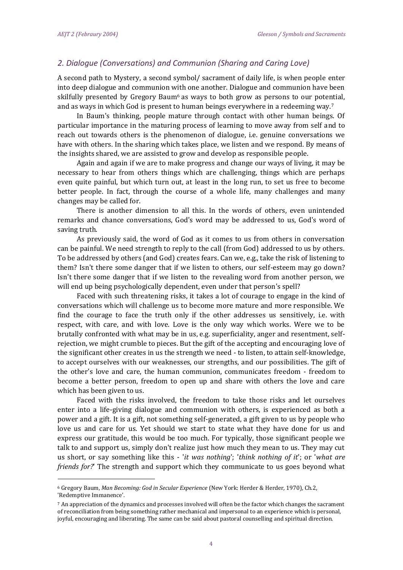l

## *2. Dialogue (Conversations) and Communion (Sharing and Caring Love)*

A second path to Mystery, a second symbol/ sacrament of daily life, is when people enter into deep dialogue and communion with one another. Dialogue and communion have been skilfully presented by Gregory Baum<sup>[6](file:///C:/Documents%20and%20Settings/Admin/My%20Documents/Steven/ACU/AEJT%20Project%202011/AEJT%202-10/Ejournal/AEJT_2/Brian_Gleeson.htm%23_ftn7)</sup> as ways to both grow as persons to our potential, and as ways in which God is present to human beings everywhere in a redeeming way.<sup>7</sup>

In Baum's thinking, people mature through contact with other human beings. Of particular importance in the maturing process of learning to move away from self and to reach out towards others is the phenomenon of dialogue, i.e. genuine conversations we have with others. In the sharing which takes place, we listen and we respond. By means of the insights shared, we are assisted to grow and develop as responsible people.

Again and again if we are to make progress and change our ways of living, it may be necessary to hear from others things which are challenging, things which are perhaps even quite painful, but which turn out, at least in the long run, to set us free to become better people. In fact, through the course of a whole life, many challenges and many changes may be called for.

There is another dimension to all this. In the words of others, even unintended remarks and chance conversations, God's word may be addressed to us, God's word of saving truth.

As previously said, the word of God as it comes to us from others in conversation can be painful. We need strength to reply to the call (from God) addressed to us by others. To be addressed by others (and God) creates fears. Can we, e.g., take the risk of listening to them? Isn't there some danger that if we listen to others, our self-esteem may go down? Isn't there some danger that if we listen to the revealing word from another person, we will end up being psychologically dependent, even under that person's spell?

Faced with such threatening risks, it takes a lot of courage to engage in the kind of conversations which will challenge us to become more mature and more responsible. We find the courage to face the truth only if the other addresses us sensitively, i.e. with respect, with care, and with love. Love is the only way which works. Were we to be brutally confronted with what may be in us, e.g. superficiality, anger and resentment, selfrejection, we might crumble to pieces. But the gift of the accepting and encouraging love of the significant other creates in us the strength we need - to listen, to attain self-knowledge, to accept ourselves with our weaknesses, our strengths, and our possibilities. The gift of the other's love and care, the human communion, communicates freedom - freedom to become a better person, freedom to open up and share with others the love and care which has been given to us.

Faced with the risks involved, the freedom to take those risks and let ourselves enter into a life-giving dialogue and communion with others, is experienced as both a power and a gift. It is a gift, not something self-generated, a gift given to us by people who love us and care for us. Yet should we start to state what they have done for us and express our gratitude, this would be too much. For typically, those significant people we talk to and support us, simply don't realize just how much they mean to us. They may cut us short, or say something like this - '*it was nothing*'; '*think nothing of it*'; or '*what are friends for?*' The strength and support which they communicate to us goes beyond what

<sup>6</sup> Gregory Baum, *Man Becoming: God in Secular Experience* (New York: Herder & Herder, 1970), Ch.2, 'Redemptive Immanence'.

 $7$  An appreciation of the dynamics and processes involved will often be the factor which changes the sacrament of reconciliation from being something rather mechanical and impersonal to an experience which is personal, joyful, encouraging and liberating. The same can be said about pastoral counselling and spiritual direction.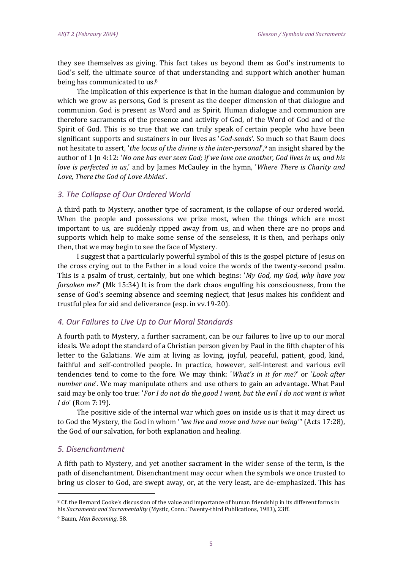they see themselves as giving. This fact takes us beyond them as God's instruments to God's self, the ultimate source of that understanding and support which another human being has communicated to us.<sup>[8](file:///C:/Documents%20and%20Settings/Admin/My%20Documents/Steven/ACU/AEJT%20Project%202011/AEJT%202-10/Ejournal/AEJT_2/Brian_Gleeson.htm%23_ftn9)</sup>

The implication of this experience is that in the human dialogue and communion by which we grow as persons, God is present as the deeper dimension of that dialogue and communion. God is present as Word and as Spirit. Human dialogue and communion are therefore sacraments of the presence and activity of God, of the Word of God and of the Spirit of God. This is so true that we can truly speak of certain people who have been significant supports and sustainers in our lives as '*God-sends*'. So much so that Baum does not hesitate to assert, '*the locus of the divine is the inter-personal*'[,](file:///C:/Documents%20and%20Settings/Admin/My%20Documents/Steven/ACU/AEJT%20Project%202011/AEJT%202-10/Ejournal/AEJT_2/Brian_Gleeson.htm%23_ftn10)<sup>9</sup> an insight shared by the author of 1 Jn 4:12: '*No one has ever seen God; if we love one another, God lives in us, and his love is perfected in us*,' and by James McCauley in the hymn, '*Where There is Charity and Love, There the God of Love Abides*'.

#### *3. The Collapse of Our Ordered World*

A third path to Mystery, another type of sacrament, is the collapse of our ordered world. When the people and possessions we prize most, when the things which are most important to us, are suddenly ripped away from us, and when there are no props and supports which help to make some sense of the senseless, it is then, and perhaps only then, that we may begin to see the face of Mystery.

I suggest that a particularly powerful symbol of this is the gospel picture of Jesus on the cross crying out to the Father in a loud voice the words of the twenty-second psalm. This is a psalm of trust, certainly, but one which begins: '*My God, my God, why have you forsaken me?*' (Mk 15:34) It is from the dark chaos engulfing his consciousness, from the sense of God's seeming absence and seeming neglect, that Jesus makes his confident and trustful plea for aid and deliverance (esp. in vv.19-20).

#### *4. Our Failures to Live Up to Our Moral Standards*

A fourth path to Mystery, a further sacrament, can be our failures to live up to our moral ideals. We adopt the standard of a Christian person given by Paul in the fifth chapter of his letter to the Galatians. We aim at living as loving, joyful, peaceful, patient, good, kind, faithful and self-controlled people. In practice, however, self-interest and various evil tendencies tend to come to the fore. We may think: '*What's in it for me?*' or '*Look after number one*'. We may manipulate others and use others to gain an advantage. What Paul said may be only too true: '*For I do not do the good I want, but the evil I do not want is what I do*' (Rom 7:19).

The positive side of the internal war which goes on inside us is that it may direct us to God the Mystery, the God in whom '*"we live and move and have our being"*' (Acts 17:28), the God of our salvation, for both explanation and healing.

#### *5. Disenchantment*

A fifth path to Mystery, and yet another sacrament in the wider sense of the term, is the path of disenchantment. Disenchantment may occur when the symbols we once trusted to bring us closer to God, are swept away, or, at the very least, are de-emphasized. This has

<sup>8</sup> Cf. the Bernard Cooke's discussion of the value and importance of human friendship in its different forms in his *Sacraments and Sacramentality* (Mystic, Conn.: Twenty-third Publications, 1983), 23ff.

<sup>9</sup> Baum, *Man Becoming*, 58.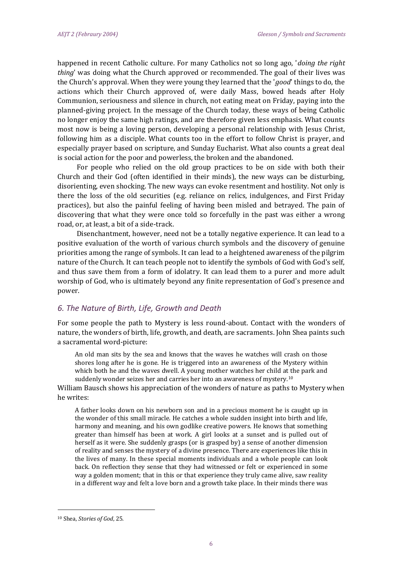happened in recent Catholic culture. For many Catholics not so long ago, '*doing the right thing*' was doing what the Church approved or recommended. The goal of their lives was the Church's approval. When they were young they learned that the '*good*' things to do, the actions which their Church approved of, were daily Mass, bowed heads after Holy Communion, seriousness and silence in church, not eating meat on Friday, paying into the planned-giving project. In the message of the Church today, these ways of being Catholic no longer enjoy the same high ratings, and are therefore given less emphasis. What counts most now is being a loving person, developing a personal relationship with Jesus Christ, following him as a disciple. What counts too in the effort to follow Christ is prayer, and especially prayer based on scripture, and Sunday Eucharist. What also counts a great deal is social action for the poor and powerless, the broken and the abandoned.

For people who relied on the old group practices to be on side with both their Church and their God (often identified in their minds), the new ways can be disturbing, disorienting, even shocking. The new ways can evoke resentment and hostility. Not only is there the loss of the old securities (e.g. reliance on relics, indulgences, and First Friday practices), but also the painful feeling of having been misled and betrayed. The pain of discovering that what they were once told so forcefully in the past was either a wrong road, or, at least, a bit of a side-track.

Disenchantment, however, need not be a totally negative experience. It can lead to a positive evaluation of the worth of various church symbols and the discovery of genuine priorities among the range of symbols. It can lead to a heightened awareness of the pilgrim nature of the Church. It can teach people not to identify the symbols of God with God's self, and thus save them from a form of idolatry. It can lead them to a purer and more adult worship of God, who is ultimately beyond any finite representation of God's presence and power.

#### *6. The Nature of Birth, Life, Growth and Death*

For some people the path to Mystery is less round-about. Contact with the wonders of nature, the wonders of birth, life, growth, and death, are sacraments. John Shea paints such a sacramental word-picture:

An old man sits by the sea and knows that the waves he watches will crash on those shores long after he is gone. He is triggered into an awareness of the Mystery within which both he and the waves dwell. A young mother watches her child at the park and suddenly wonder seizes her and carries her into an awareness of mystery.<sup>[10](file:///C:/Documents%20and%20Settings/Admin/My%20Documents/Steven/ACU/AEJT%20Project%202011/AEJT%202-10/Ejournal/AEJT_2/Brian_Gleeson.htm%23_ftn11)</sup>

William Bausch shows his appreciation of the wonders of nature as paths to Mystery when he writes:

A father looks down on his newborn son and in a precious moment he is caught up in the wonder of this small miracle. He catches a whole sudden insight into birth and life, harmony and meaning, and his own godlike creative powers. He knows that something greater than himself has been at work. A girl looks at a sunset and is pulled out of herself as it were. She suddenly grasps (or is grasped by) a sense of another dimension of reality and senses the mystery of a divine presence. There are experiences like this in the lives of many. In these special moments individuals and a whole people can look back. On reflection they sense that they had witnessed or felt or experienced in some way a golden moment; that in this or that experience they truly came alive, saw reality in a different way and felt a love born and a growth take place. In their minds there was

<sup>10</sup> Shea, *Stories of God*, 25.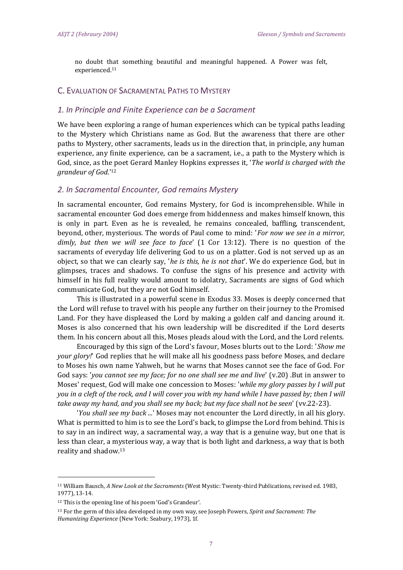no doubt that something beautiful and meaningful happened. A Power was felt, experienced.[11](file:///C:/Documents%20and%20Settings/Admin/My%20Documents/Steven/ACU/AEJT%20Project%202011/AEJT%202-10/Ejournal/AEJT_2/Brian_Gleeson.htm%23_ftn12)

#### C. EVALUATION OF SACRAMENTAL PATHS TO MYSTERY

#### *1. In Principle and Finite Experience can be a Sacrament*

We have been exploring a range of human experiences which can be typical paths leading to the Mystery which Christians name as God. But the awareness that there are other paths to Mystery, other sacraments, leads us in the direction that, in principle, any human experience, any finite experience, can be a sacrament, i.e., a path to the Mystery which is God*,* since, as the poet Gerard Manley Hopkins expresses it, '*The world is charged with the grandeur of God.*' [12](file:///C:/Documents%20and%20Settings/Admin/My%20Documents/Steven/ACU/AEJT%20Project%202011/AEJT%202-10/Ejournal/AEJT_2/Brian_Gleeson.htm%23_ftn13)

#### *2. In Sacramental Encounter, God remains Mystery*

In sacramental encounter, God remains Mystery, for God is incomprehensible. While in sacramental encounter God does emerge from hiddenness and makes himself known, this is only in part. Even as he is revealed, he remains concealed, baffling, transcendent, beyond, other, mysterious. The words of Paul come to mind: '*For now we see in a mirror, dimly, but then we will see face to face*' (1 Cor 13:12). There is no question of the sacraments of everyday life delivering God to us on a platter. God is not served up as an object, so that we can clearly say, '*he is this, he is not that*'. We do experience God, but in glimpses, traces and shadows. To confuse the signs of his presence and activity with himself in his full reality would amount to idolatry, Sacraments are signs of God which communicate God, but they are not God himself.

This is illustrated in a powerful scene in Exodus 33. Moses is deeply concerned that the Lord will refuse to travel with his people any further on their journey to the Promised Land. For they have displeased the Lord by making a golden calf and dancing around it. Moses is also concerned that his own leadership will be discredited if the Lord deserts them. In his concern about all this, Moses pleads aloud with the Lord, and the Lord relents.

Encouraged by this sign of the Lord's favour, Moses blurts out to the Lord: '*Show me your glory!*' God replies that he will make all his goodness pass before Moses, and declare to Moses his own name Yahweh, but he warns that Moses cannot see the face of God. For God says: '*you cannot see my face; for no one shall see me and live*' (v.20) .But in answer to Moses' request, God will make one concession to Moses: '*while my glory passes by I will put you in a cleft of the rock, and I will cover you with my hand while I have passed by; then I will take away my hand, and you shall see my back; but my face shall not be seen*' (vv.22-23).

'*You shall see my back ...*' Moses may not encounter the Lord directly, in all his glory. What is permitted to him is to see the Lord's back, to glimpse the Lord from behind. This is to say in an indirect way, a sacramental way, a way that is a genuine way, but one that is less than clear, a mysterious way, a way that is both light and darkness, a way that is both reality and shadow.[13](file:///C:/Documents%20and%20Settings/Admin/My%20Documents/Steven/ACU/AEJT%20Project%202011/AEJT%202-10/Ejournal/AEJT_2/Brian_Gleeson.htm%23_ftn14)

<sup>11</sup> William Bausch, *A New Look at the Sacraments* (West Mystic: Twenty-third Publications, revised ed. 1983, 1977), 13-14.

<sup>12</sup> This is the opening line of his poem 'God's Grandeur'.

<sup>13</sup> For the germ of this idea developed in my own way, see Joseph Powers, *Spirit and Sacrament: The Humanizing Experience* (New York: Seabury, 1973), 1f.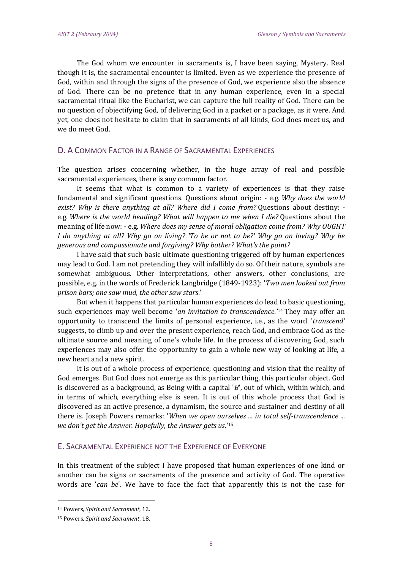The God whom we encounter in sacraments is, I have been saying, Mystery. Real though it is, the sacramental encounter is limited. Even as we experience the presence of God, within and through the signs of the presence of God, we experience also the absence of God. There can be no pretence that in any human experience, even in a special sacramental ritual like the Eucharist, we can capture the full reality of God. There can be no question of objectifying God, of delivering God in a packet or a package, as it were. And yet, one does not hesitate to claim that in sacraments of all kinds, God does meet us, and we do meet God.

## D. A COMMON FACTOR IN A RANGE OF SACRAMENTAL EXPERIENCES

The question arises concerning whether, in the huge array of real and possible sacramental experiences, there is any common factor.

It seems that what is common to a variety of experiences is that they raise fundamental and significant questions. Questions about origin: - e.g. *Why does the world exist? Why is there anything at all? Where did I come from?* Questions about destiny: e.g. *Where is the world heading? What will happen to me when I die?* Questions about the meaning of life now: - e.g. *Where does my sense of moral obligation come from? Why OUGHT I do anything at all? Why go on living? 'To be or not to be?' Why go on loving? Why be generous and compassionate and forgiving? Why bother? What's the point?*

I have said that such basic ultimate questioning triggered off by human experiences may lead to God. I am not pretending they will infallibly do so. Of their nature, symbols are somewhat ambiguous. Other interpretations, other answers, other conclusions, are possible, e.g. in the words of Frederick Langbridge (1849-1923): '*Two men looked out from prison bars; one saw mud, the other saw stars*.'

But when it happens that particular human experiences do lead to basic questioning, such experiences may well become '*an invitation to transcendence.'*[14](file:///C:/Documents%20and%20Settings/Admin/My%20Documents/Steven/ACU/AEJT%20Project%202011/AEJT%202-10/Ejournal/AEJT_2/Brian_Gleeson.htm%23_ftn15) They may offer an opportunity to transcend the limits of personal experience, i.e., as the word '*transcend*' suggests, to climb up and over the present experience, reach God, and embrace God as the ultimate source and meaning of one's whole life. In the process of discovering God, such experiences may also offer the opportunity to gain a whole new way of looking at life, a new heart and a new spirit.

It is out of a whole process of experience, questioning and vision that the reality of God emerges. But God does not emerge as this particular thing, this particular object. God is discovered as a background, as Being with a capital '*B*', out of which, within which, and in terms of which, everything else is seen. It is out of this whole process that God is discovered as an active presence, a dynamism, the source and sustainer and destiny of all there is. Joseph Powers remarks: '*When we open ourselves ... in total self-transcendence ... we don't get the Answer. Hopefully, the Answer gets us*.'<sup>15</sup>

#### E. SACRAMENTAL EXPERIENCE NOT THE EXPERIENCE OF EVERYONE

In this treatment of the subject I have proposed that human experiences of one kind or another can be signs or sacraments of the presence and activity of God. The operative words are '*can be*'. We have to face the fact that apparently this is not the case for

<sup>14</sup> Powers, *Spirit and Sacrament*, 12.

<sup>15</sup> Powers, *Spirit and Sacrament*, 18.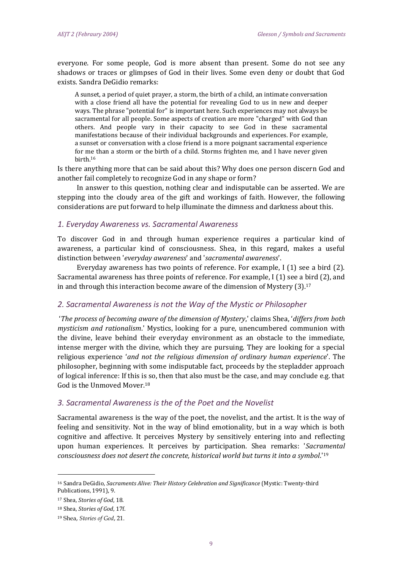everyone. For some people, God is more absent than present. Some do not see any shadows or traces or glimpses of God in their lives. Some even deny or doubt that God exists. Sandra DeGidio remarks:

A sunset, a period of quiet prayer, a storm, the birth of a child, an intimate conversation with a close friend all have the potential for revealing God to us in new and deeper ways. The phrase "potential for" is important here. Such experiences may not always be sacramental for all people. Some aspects of creation are more "charged" with God than others. And people vary in their capacity to see God in these sacramental manifestations because of their individual backgrounds and experiences. For example, a sunset or conversation with a close friend is a more poignant sacramental experience for me than a storm or the birth of a child. Storms frighten me, and I have never given birth.<sup>16</sup>

Is there anything more that can be said about this? Why does one person discern God and another fail completely to recognize God in any shape or form?

In answer to this question, nothing clear and indisputable can be asserted. We are stepping into the cloudy area of the gift and workings of faith. However, the following considerations are put forward to help illuminate the dimness and darkness about this.

#### *1. Everyday Awareness vs. Sacramental Awareness*

To discover God in and through human experience requires a particular kind of awareness, a particular kind of consciousness. Shea, in this regard, makes a useful distinction between '*everyday awareness*' and '*sacramental awareness*'.

Everyday awareness has two points of reference. For example, I (1) see a bird (2). Sacramental awareness has three points of reference. For example, I (1) see a bird (2), and in and through this interaction become aware of the dimension of Mystery  $(3)$ .<sup>17</sup>

#### *2. Sacramental Awareness is not the Way of the Mystic or Philosopher*

'*The process of becoming aware of the dimension of Mystery*,' claims Shea, '*differs from both mysticism and rationalism*.' Mystics, looking for a pure, unencumbered communion with the divine, leave behind their everyday environment as an obstacle to the immediate, intense merger with the divine, which they are pursuing. They are looking for a special religious experience '*and not the religious dimension of ordinary human experience*'. The philosopher, beginning with some indisputable fact, proceeds by the stepladder approach of logical inference: If this is so, then that also must be the case, and may conclude e.g. that God is the Unmoved Mover.<sup>18</sup>

#### *3. Sacramental Awareness is the of the Poet and the Novelist*

Sacramental awareness is the way of the poet, the novelist, and the artist. It is the way of feeling and sensitivity. Not in the way of blind emotionality, but in a way which is both cognitive and affective. It perceives Mystery by sensitively entering into and reflecting upon human experiences. It perceives by participation. Shea remarks: '*Sacramental consciousness does not desert the concrete, historical world but turns it into a symbol*.'<sup>19</sup>

<sup>16</sup> Sandra DeGidio, *Sacraments Alive: Their History Celebration and Significance* (Mystic: Twenty-third Publications, 1991), 9.

<sup>17</sup> Shea, *Stories of God*, 18.

<sup>18</sup> Shea, *Stories of God*, 17f.

<sup>19</sup> Shea, *Stories of God*, 21.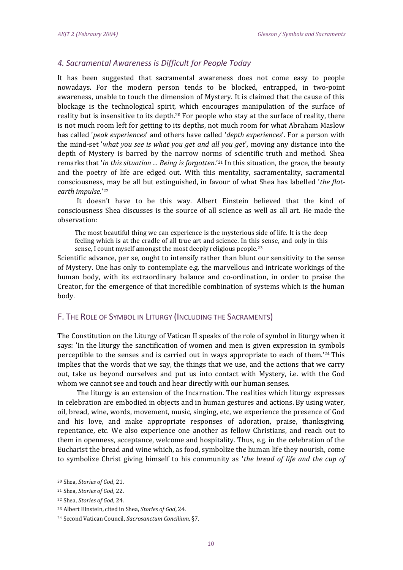## *4. Sacramental Awareness is Difficult for People Today*

It has been suggested that sacramental awareness does not come easy to people nowadays. For the modern person tends to be blocked, entrapped, in two-point awareness, unable to touch the dimension of Mystery. It is claimed that the cause of this blockage is the technological spirit, which encourages manipulation of the surface of reality but is insensitive to its depth.[20](file:///C:/Documents%20and%20Settings/Admin/My%20Documents/Steven/ACU/AEJT%20Project%202011/AEJT%202-10/Ejournal/AEJT_2/Brian_Gleeson.htm%23_ftn21) For people who stay at the surface of reality, there is not much room left for getting to its depths, not much room for what Abraham Maslow has called '*peak experiences*' and others have called '*depth experiences*'. For a person with the mind-set '*what you see is what you get and all you get*', moving any distance into the depth of Mystery is barred by the narrow norms of scientific truth and method. Shea remarks that '*in this situation ... Being is forgotten*.' [21](file:///C:/Documents%20and%20Settings/Admin/My%20Documents/Steven/ACU/AEJT%20Project%202011/AEJT%202-10/Ejournal/AEJT_2/Brian_Gleeson.htm%23_ftn22) In this situation, the grace, the beauty and the poetry of life are edged out. With this mentality, sacramentality, sacramental consciousness, may be all but extinguished, in favour of what Shea has labelled '*the flatearth impulse.*' 22

It doesn't have to be this way. Albert Einstein believed that the kind of consciousness Shea discusses is the source of all science as well as all art. He made the observation:

The most beautiful thing we can experience is the mysterious side of life. It is the deep feeling which is at the cradle of all true art and science. In this sense, and only in this sense, I count myself amongst the most deeply religious people.<sup>23</sup>

Scientific advance, per se, ought to intensify rather than blunt our sensitivity to the sense of Mystery. One has only to contemplate e.g. the marvellous and intricate workings of the human body, with its extraordinary balance and co-ordination, in order to praise the Creator, for the emergence of that incredible combination of systems which is the human body.

#### F. THE ROLE OF SYMBOL IN LITURGY (INCLUDING THE SACRAMENTS)

The Constitution on the Liturgy of Vatican II speaks of the role of symbol in liturgy when it says: 'In the liturgy the sanctification of women and men is given expression in symbols perceptible to the senses and is carried out in ways appropriate to each of them.'[24](file:///C:/Documents%20and%20Settings/Admin/My%20Documents/Steven/ACU/AEJT%20Project%202011/AEJT%202-10/Ejournal/AEJT_2/Brian_Gleeson.htm%23_ftn25) This implies that the words that we say, the things that we use, and the actions that we carry out, take us beyond ourselves and put us into contact with Mystery, i.e. with the God whom we cannot see and touch and hear directly with our human senses.

The liturgy is an extension of the Incarnation. The realities which liturgy expresses in celebration are embodied in objects and in human gestures and actions. By using water, oil, bread, wine, words, movement, music, singing, etc, we experience the presence of God and his love, and make appropriate responses of adoration, praise, thanksgiving, repentance, etc. We also experience one another as fellow Christians, and reach out to them in openness, acceptance, welcome and hospitality. Thus, e.g. in the celebration of the Eucharist the bread and wine which, as food, symbolize the human life they nourish, come to symbolize Christ giving himself to his community as '*the bread of life and the cup of* 

<sup>20</sup> Shea, *Stories of God*, 21.

<sup>21</sup> Shea, *Stories of God*, 22.

<sup>22</sup> Shea, *Stories of God*, 24.

<sup>23</sup> Albert Einstein, cited in Shea, *Stories of God*, 24.

<sup>24</sup> Second Vatican Council, *Sacrosanctum Concilium*, §7.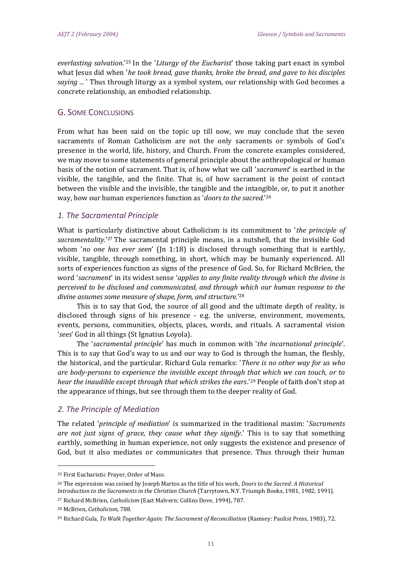*everlasting salvation.*' [25](file:///C:/Documents%20and%20Settings/Admin/My%20Documents/Steven/ACU/AEJT%20Project%202011/AEJT%202-10/Ejournal/AEJT_2/Brian_Gleeson.htm%23_ftn26) In the '*Liturgy of the Eucharist*' those taking part enact in symbol what Jesus did when '*he took bread, gave thanks, broke the bread, and gave to his disciples saying ...* ' Thus through liturgy as a symbol system, our relationship with God becomes a concrete relationship, an embodied relationship.

## G. SOME CONCLUSIONS

From what has been said on the topic up till now, we may conclude that the seven sacraments of Roman Catholicism are not the only sacraments or symbols of God's presence in the world, life, history, and Church. From the concrete examples considered, we may move to some statements of general principle about the anthropological or human basis of the notion of sacrament. That is, of how what we call '*sacrament*' is earthed in the visible, the tangible, and the finite. That is, of how sacrament is the point of contact between the visible and the invisible, the tangible and the intangible, or, to put it another way, how our human experiences function as '*doors to the sacred.*' 26

## *1. The Sacramental Principle*

What is particularly distinctive about Catholicism is its commitment to '*the principle of*  sacramentality.<sup>'[27](file:///C:/Documents%20and%20Settings/Admin/My%20Documents/Steven/ACU/AEJT%20Project%202011/AEJT%202-10/Ejournal/AEJT_2/Brian_Gleeson.htm%23_ftn28)</sup> The sacramental principle means, in a nutshell, that the invisible God whom '*no one has ever seen*' (Jn 1:18) is disclosed through something that is earthly, visible, tangible, through something, in short, which may be humanly experienced. All sorts of experiences function as signs of the presence of God. So, for Richard McBrien, the word '*sacrament*' in its widest sense '*applies to any finite reality through which the divine is perceived to be disclosed and communicated, and through which our human response to the divine assumes some measure of shape, form, and structure.*' 28

This is to say that God, the source of all good and the ultimate depth of reality, is disclosed through signs of his presence - e.g. the universe, environment, movements, events, persons, communities, objects, places, words, and rituals. A sacramental vision '*sees*' God in all things (St Ignatius Loyola).

The '*sacramental principle*' has much in common with '*the incarnational principle*'. This is to say that God's way to us and our way to God is through the human, the fleshly, the historical, and the particular. Richard Gula remarks: '*There is no other way for us who are body-persons to experience the invisible except through that which we can touch, or to hear the inaudible except through that which strikes the ears*.'[29](file:///C:/Documents%20and%20Settings/Admin/My%20Documents/Steven/ACU/AEJT%20Project%202011/AEJT%202-10/Ejournal/AEJT_2/Brian_Gleeson.htm%23_ftn30) People of faith don't stop at the appearance of things, but see through them to the deeper reality of God.

#### *2. The Principle of Mediation*

The related '*principle of mediation*' is summarized in the traditional maxim: '*Sacraments are not just signs of grace, they cause what they signify*.' This is to say that something earthly, something in human experience, not only suggests the existence and presence of God, but it also mediates or communicates that presence. Thus through their human

<sup>25</sup> First Eucharistic Prayer, Order of Mass.

<sup>26</sup> The expression was coined by Joseph Martos as the title of his work, *Doors to the Sacred: A Historical Introduction to the Sacraments in the Christian Church* (Tarrytown, N.Y. Triumph Books, 1981, 1982, 1991).

<sup>27</sup> Richard McBrien, *Catholicism* (East Malvern: Collins Dove, 1994), 787.

<sup>28</sup> McBrien, *Catholicism*, 788.

<sup>29</sup> Richard Gula, *To Walk Together Again: The Sacrament of Reconciliation* (Ramsey: Paulist Press, 1983), 72.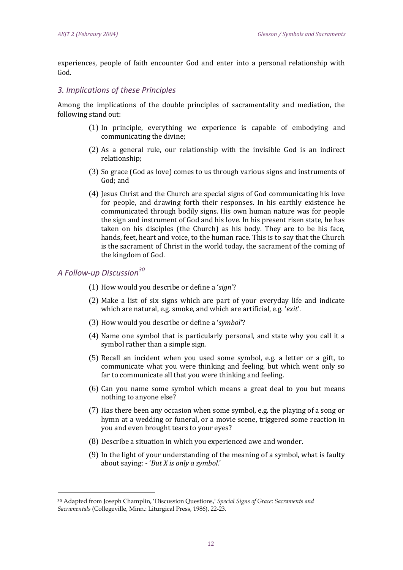experiences, people of faith encounter God and enter into a personal relationship with God.

#### *3. Implications of these Principles*

Among the implications of the double principles of sacramentality and mediation, the following stand out:

- (1) In principle, everything we experience is capable of embodying and communicating the divine;
- (2) As a general rule, our relationship with the invisible God is an indirect relationship;
- (3) So grace (God as love) comes to us through various signs and instruments of God; and
- (4) Jesus Christ and the Church are special signs of God communicating his love for people, and drawing forth their responses. In his earthly existence he communicated through bodily signs. His own human nature was for people the sign and instrument of God and his love. In his present risen state, he has taken on his disciples (the Church) as his body. They are to be his face, hands, feet, heart and voice, to the human race. This is to say that the Church is the sacrament of Christ in the world today, the sacrament of the coming of the kingdom of God.

## *A Follow-up Discussion<sup>30</sup>*

- (1) How would you describe or define a '*sign*'?
- (2) Make a list of six signs which are part of your everyday life and indicate which are natural, e.g. smoke, and which are artificial, e.g. '*exit*'.
- (3) How would you describe or define a '*symbol*'?
- (4) Name one symbol that is particularly personal, and state why you call it a symbol rather than a simple sign.
- (5) Recall an incident when you used some symbol, e.g. a letter or a gift, to communicate what you were thinking and feeling, but which went only so far to communicate all that you were thinking and feeling.
- (6) Can you name some symbol which means a great deal to you but means nothing to anyone else?
- (7) Has there been any occasion when some symbol, e.g. the playing of a song or hymn at a wedding or funeral, or a movie scene, triggered some reaction in you and even brought tears to your eyes?
- (8) Describe a situation in which you experienced awe and wonder.
- (9) In the light of your understanding of the meaning of a symbol, what is faulty about saying: - '*But X is only a symbol*.'

<sup>30</sup> Adapted from Joseph Champlin, 'Discussion Questions,' *Special Signs of Grace: Sacraments and Sacramentals* (Collegeville, Minn.: Liturgical Press, 1986), 22-23.